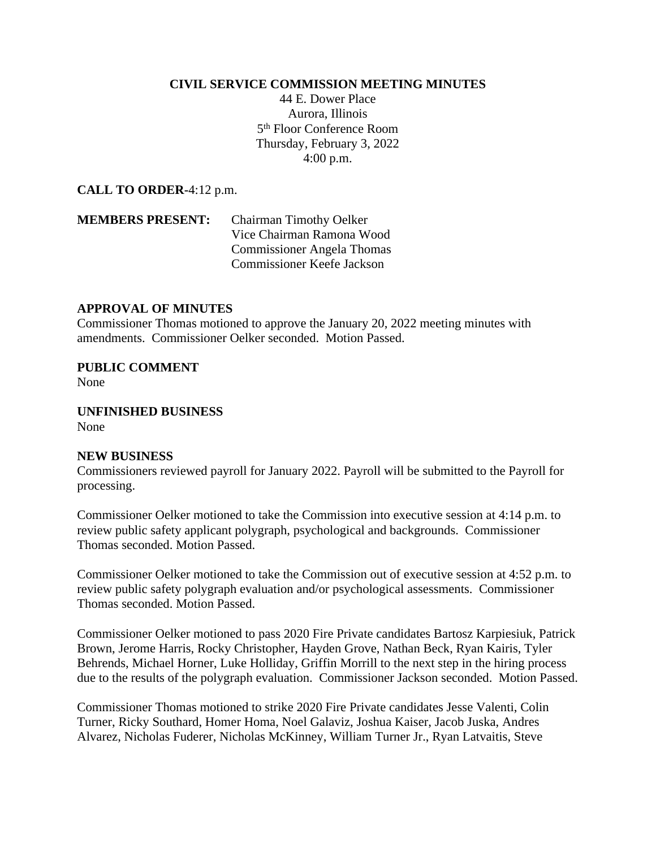## **CIVIL SERVICE COMMISSION MEETING MINUTES**

44 E. Dower Place Aurora, Illinois 5 th Floor Conference Room Thursday, February 3, 2022 4:00 p.m.

**CALL TO ORDER-**4:12 p.m.

**MEMBERS PRESENT:** Chairman Timothy Oelker Vice Chairman Ramona Wood Commissioner Angela Thomas Commissioner Keefe Jackson

## **APPROVAL OF MINUTES**

Commissioner Thomas motioned to approve the January 20, 2022 meeting minutes with amendments. Commissioner Oelker seconded. Motion Passed.

**PUBLIC COMMENT** None

**UNFINISHED BUSINESS** None

## **NEW BUSINESS**

Commissioners reviewed payroll for January 2022. Payroll will be submitted to the Payroll for processing.

Commissioner Oelker motioned to take the Commission into executive session at 4:14 p.m. to review public safety applicant polygraph, psychological and backgrounds. Commissioner Thomas seconded. Motion Passed.

Commissioner Oelker motioned to take the Commission out of executive session at 4:52 p.m. to review public safety polygraph evaluation and/or psychological assessments. Commissioner Thomas seconded. Motion Passed.

Commissioner Oelker motioned to pass 2020 Fire Private candidates Bartosz Karpiesiuk, Patrick Brown, Jerome Harris, Rocky Christopher, Hayden Grove, Nathan Beck, Ryan Kairis, Tyler Behrends, Michael Horner, Luke Holliday, Griffin Morrill to the next step in the hiring process due to the results of the polygraph evaluation. Commissioner Jackson seconded. Motion Passed.

Commissioner Thomas motioned to strike 2020 Fire Private candidates Jesse Valenti, Colin Turner, Ricky Southard, Homer Homa, Noel Galaviz, Joshua Kaiser, Jacob Juska, Andres Alvarez, Nicholas Fuderer, Nicholas McKinney, William Turner Jr., Ryan Latvaitis, Steve